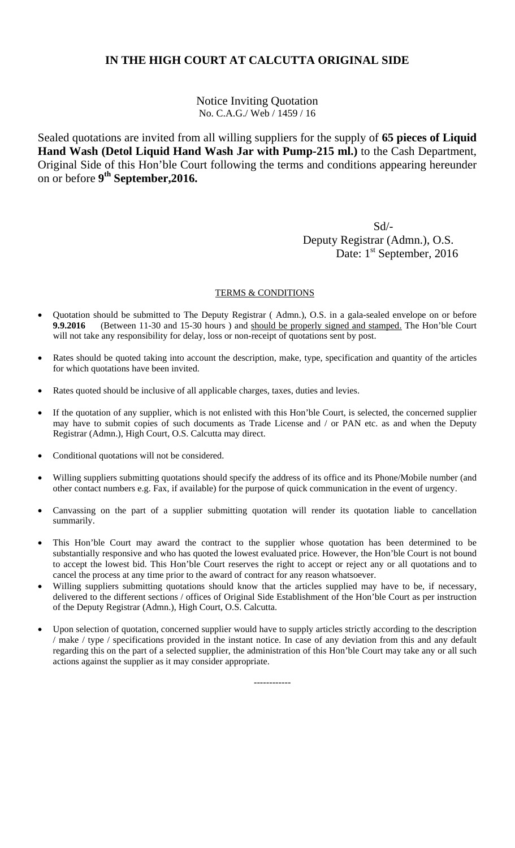Notice Inviting Quotation No. C.A.G./ Web / 1459 / 16

Sealed quotations are invited from all willing suppliers for the supply of **65 pieces of Liquid Hand Wash (Detol Liquid Hand Wash Jar with Pump-215 ml.)** to the Cash Department, Original Side of this Hon'ble Court following the terms and conditions appearing hereunder on or before **9th September,2016.**

 Sd/- Deputy Registrar (Admn.), O.S. Date: 1<sup>st</sup> September, 2016

#### TERMS & CONDITIONS

- Quotation should be submitted to The Deputy Registrar ( Admn.), O.S. in a gala-sealed envelope on or before **9.9.2016** (Between 11-30 and 15-30 hours ) and should be properly signed and stamped. The Hon'ble Court will not take any responsibility for delay, loss or non-receipt of quotations sent by post.
- Rates should be quoted taking into account the description, make, type, specification and quantity of the articles for which quotations have been invited.
- Rates quoted should be inclusive of all applicable charges, taxes, duties and levies.
- If the quotation of any supplier, which is not enlisted with this Hon'ble Court, is selected, the concerned supplier may have to submit copies of such documents as Trade License and / or PAN etc. as and when the Deputy Registrar (Admn.), High Court, O.S. Calcutta may direct.
- Conditional quotations will not be considered.
- Willing suppliers submitting quotations should specify the address of its office and its Phone/Mobile number (and other contact numbers e.g. Fax, if available) for the purpose of quick communication in the event of urgency.
- Canvassing on the part of a supplier submitting quotation will render its quotation liable to cancellation summarily.
- This Hon'ble Court may award the contract to the supplier whose quotation has been determined to be substantially responsive and who has quoted the lowest evaluated price. However, the Hon'ble Court is not bound to accept the lowest bid. This Hon'ble Court reserves the right to accept or reject any or all quotations and to cancel the process at any time prior to the award of contract for any reason whatsoever.
- Willing suppliers submitting quotations should know that the articles supplied may have to be, if necessary, delivered to the different sections / offices of Original Side Establishment of the Hon'ble Court as per instruction of the Deputy Registrar (Admn.), High Court, O.S. Calcutta.
- Upon selection of quotation, concerned supplier would have to supply articles strictly according to the description / make / type / specifications provided in the instant notice. In case of any deviation from this and any default regarding this on the part of a selected supplier, the administration of this Hon'ble Court may take any or all such actions against the supplier as it may consider appropriate.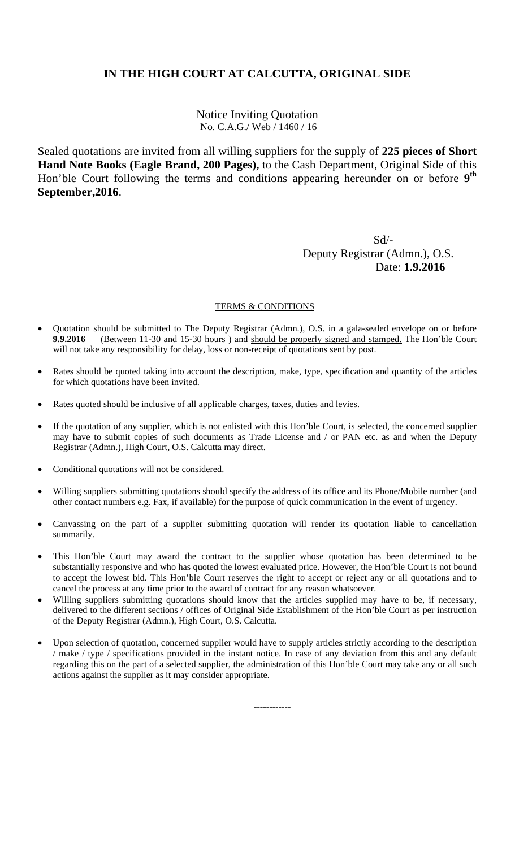Notice Inviting Quotation No. C.A.G./ Web / 1460 / 16

Sealed quotations are invited from all willing suppliers for the supply of **225 pieces of Short Hand Note Books (Eagle Brand, 200 Pages),** to the Cash Department, Original Side of this Hon'ble Court following the terms and conditions appearing hereunder on or before **9th September,2016**.

 Sd/- Deputy Registrar (Admn.), O.S. Date: **1.9.2016**

#### TERMS & CONDITIONS

- Quotation should be submitted to The Deputy Registrar (Admn.), O.S. in a gala-sealed envelope on or before **9.9.2016** (Between 11-30 and 15-30 hours) and should be properly signed and stamped. The Hon'ble Court will not take any responsibility for delay, loss or non-receipt of quotations sent by post.
- Rates should be quoted taking into account the description, make, type, specification and quantity of the articles for which quotations have been invited.
- Rates quoted should be inclusive of all applicable charges, taxes, duties and levies.
- If the quotation of any supplier, which is not enlisted with this Hon'ble Court, is selected, the concerned supplier may have to submit copies of such documents as Trade License and / or PAN etc. as and when the Deputy Registrar (Admn.), High Court, O.S. Calcutta may direct.
- Conditional quotations will not be considered.
- Willing suppliers submitting quotations should specify the address of its office and its Phone/Mobile number (and other contact numbers e.g. Fax, if available) for the purpose of quick communication in the event of urgency.
- Canvassing on the part of a supplier submitting quotation will render its quotation liable to cancellation summarily.
- This Hon'ble Court may award the contract to the supplier whose quotation has been determined to be substantially responsive and who has quoted the lowest evaluated price. However, the Hon'ble Court is not bound to accept the lowest bid. This Hon'ble Court reserves the right to accept or reject any or all quotations and to cancel the process at any time prior to the award of contract for any reason whatsoever.
- Willing suppliers submitting quotations should know that the articles supplied may have to be, if necessary, delivered to the different sections / offices of Original Side Establishment of the Hon'ble Court as per instruction of the Deputy Registrar (Admn.), High Court, O.S. Calcutta.
- Upon selection of quotation, concerned supplier would have to supply articles strictly according to the description / make / type / specifications provided in the instant notice. In case of any deviation from this and any default regarding this on the part of a selected supplier, the administration of this Hon'ble Court may take any or all such actions against the supplier as it may consider appropriate.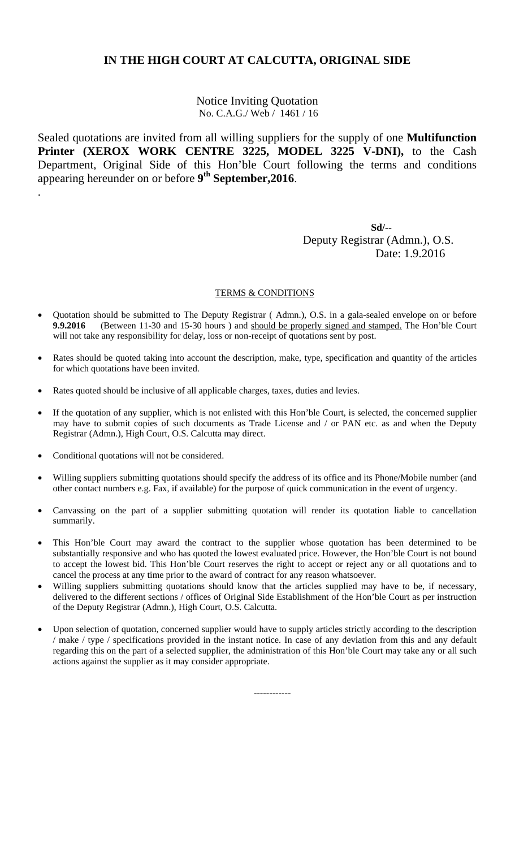Notice Inviting Quotation No. C.A.G./ Web / 1461 / 16

Sealed quotations are invited from all willing suppliers for the supply of one **Multifunction Printer (XEROX WORK CENTRE 3225, MODEL 3225 V-DNI),** to the Cash Department, Original Side of this Hon'ble Court following the terms and conditions appearing hereunder on or before **9th September,2016**.

 **Sd/--**  Deputy Registrar (Admn.), O.S. Date: 1.9.2016

#### TERMS & CONDITIONS

- Quotation should be submitted to The Deputy Registrar ( Admn.), O.S. in a gala-sealed envelope on or before **9.9.2016** (Between 11-30 and 15-30 hours) and should be properly signed and stamped. The Hon'ble Court will not take any responsibility for delay, loss or non-receipt of quotations sent by post.
- Rates should be quoted taking into account the description, make, type, specification and quantity of the articles for which quotations have been invited.
- Rates quoted should be inclusive of all applicable charges, taxes, duties and levies.
- If the quotation of any supplier, which is not enlisted with this Hon'ble Court, is selected, the concerned supplier may have to submit copies of such documents as Trade License and / or PAN etc. as and when the Deputy Registrar (Admn.), High Court, O.S. Calcutta may direct.
- Conditional quotations will not be considered.

.

- Willing suppliers submitting quotations should specify the address of its office and its Phone/Mobile number (and other contact numbers e.g. Fax, if available) for the purpose of quick communication in the event of urgency.
- Canvassing on the part of a supplier submitting quotation will render its quotation liable to cancellation summarily.
- This Hon'ble Court may award the contract to the supplier whose quotation has been determined to be substantially responsive and who has quoted the lowest evaluated price. However, the Hon'ble Court is not bound to accept the lowest bid. This Hon'ble Court reserves the right to accept or reject any or all quotations and to cancel the process at any time prior to the award of contract for any reason whatsoever.
- Willing suppliers submitting quotations should know that the articles supplied may have to be, if necessary, delivered to the different sections / offices of Original Side Establishment of the Hon'ble Court as per instruction of the Deputy Registrar (Admn.), High Court, O.S. Calcutta.
- Upon selection of quotation, concerned supplier would have to supply articles strictly according to the description / make / type / specifications provided in the instant notice. In case of any deviation from this and any default regarding this on the part of a selected supplier, the administration of this Hon'ble Court may take any or all such actions against the supplier as it may consider appropriate.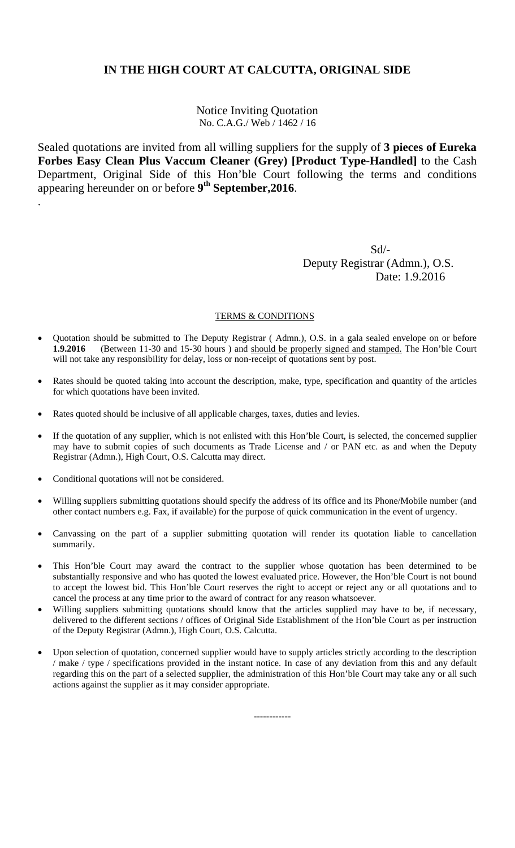Notice Inviting Quotation No. C.A.G./ Web / 1462 / 16

Sealed quotations are invited from all willing suppliers for the supply of **3 pieces of Eureka Forbes Easy Clean Plus Vaccum Cleaner (Grey) [Product Type-Handled]** to the Cash Department, Original Side of this Hon'ble Court following the terms and conditions appearing hereunder on or before **9th September,2016**.

 Sd/- Deputy Registrar (Admn.), O.S. Date: 1.9.2016

### TERMS & CONDITIONS

- Quotation should be submitted to The Deputy Registrar ( Admn.), O.S. in a gala sealed envelope on or before **1.9.2016** (Between 11-30 and 15-30 hours ) and should be properly signed and stamped. The Hon'ble Court will not take any responsibility for delay, loss or non-receipt of quotations sent by post.
- Rates should be quoted taking into account the description, make, type, specification and quantity of the articles for which quotations have been invited.
- Rates quoted should be inclusive of all applicable charges, taxes, duties and levies.
- If the quotation of any supplier, which is not enlisted with this Hon'ble Court, is selected, the concerned supplier may have to submit copies of such documents as Trade License and / or PAN etc. as and when the Deputy Registrar (Admn.), High Court, O.S. Calcutta may direct.
- Conditional quotations will not be considered.

.

- Willing suppliers submitting quotations should specify the address of its office and its Phone/Mobile number (and other contact numbers e.g. Fax, if available) for the purpose of quick communication in the event of urgency.
- Canvassing on the part of a supplier submitting quotation will render its quotation liable to cancellation summarily.
- This Hon'ble Court may award the contract to the supplier whose quotation has been determined to be substantially responsive and who has quoted the lowest evaluated price. However, the Hon'ble Court is not bound to accept the lowest bid. This Hon'ble Court reserves the right to accept or reject any or all quotations and to cancel the process at any time prior to the award of contract for any reason whatsoever.
- Willing suppliers submitting quotations should know that the articles supplied may have to be, if necessary, delivered to the different sections / offices of Original Side Establishment of the Hon'ble Court as per instruction of the Deputy Registrar (Admn.), High Court, O.S. Calcutta.
- Upon selection of quotation, concerned supplier would have to supply articles strictly according to the description / make / type / specifications provided in the instant notice. In case of any deviation from this and any default regarding this on the part of a selected supplier, the administration of this Hon'ble Court may take any or all such actions against the supplier as it may consider appropriate.